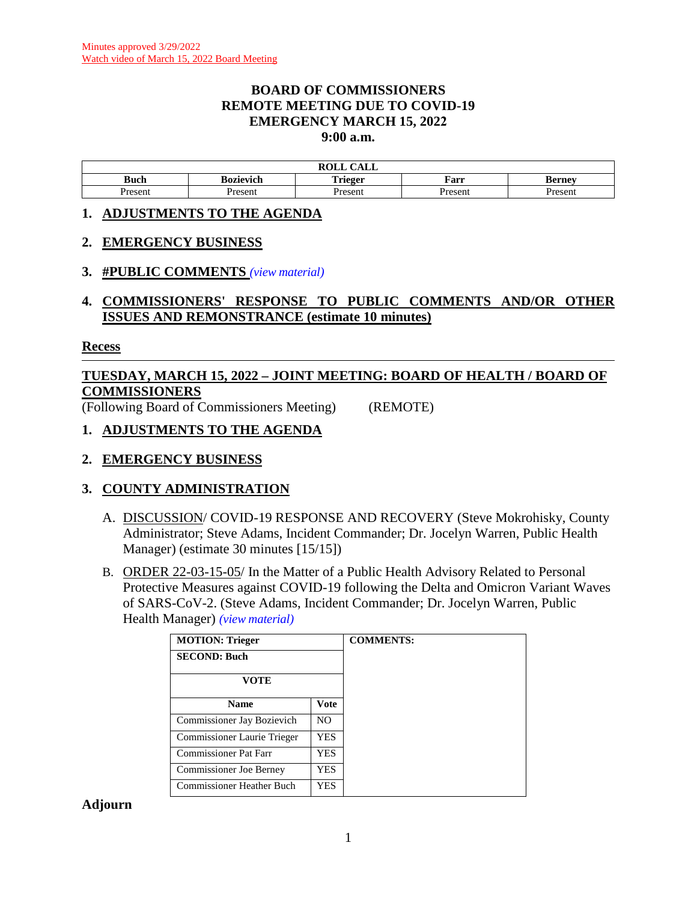#### **BOARD OF COMMISSIONERS REMOTE MEETING DUE TO COVID-19 EMERGENCY MARCH 15, 2022 9:00 a.m.**

|            |           | $C$ and $T$<br>DAT T<br>NVLL<br>САЫС |         |         |
|------------|-----------|--------------------------------------|---------|---------|
| T.<br>Buch | 30zievich | <b>. .</b><br>`rieger                | Farr    | sernev  |
| resent     | Present   | resen.                               | Present | resent- |

#### **1. ADJUSTMENTS TO THE AGENDA**

#### **2. EMERGENCY BUSINESS**

#### **3. #PUBLIC COMMENTS** *(view [material\)](http://www.lanecountyor.gov/UserFiles/Servers/Server_3585797/File/Government/BCC/2022/2022_AGENDAS/031522agenda/T.3.pdf)*

# **4. COMMISSIONERS' RESPONSE TO PUBLIC COMMENTS AND/OR OTHER ISSUES AND REMONSTRANCE (estimate 10 minutes)**

#### **Recess**

# **TUESDAY, MARCH 15, 2022 – JOINT MEETING: BOARD OF HEALTH / BOARD OF COMMISSIONERS**

(Following Board of Commissioners Meeting) (REMOTE)

#### **1. ADJUSTMENTS TO THE AGENDA**

# **2. EMERGENCY BUSINESS**

# **3. COUNTY ADMINISTRATION**

- A. DISCUSSION/ COVID-19 RESPONSE AND RECOVERY (Steve Mokrohisky, County Administrator; Steve Adams, Incident Commander; Dr. Jocelyn Warren, Public Health Manager) (estimate 30 minutes [15/15])
- B. ORDER 22-03-15-05/ In the Matter of a Public Health Advisory Related to Personal Protective Measures against COVID-19 following the Delta and Omicron Variant Waves of SARS-CoV-2. (Steve Adams, Incident Commander; Dr. Jocelyn Warren, Public Health Manager) *(view [material\)](http://www.lanecountyor.gov/UserFiles/Servers/Server_3585797/File/Government/BCC/2022/2022_AGENDAS/031522agenda/T.3.B.pdf)*

| <b>MOTION: Trieger</b>      |                | <b>COMMENTS:</b> |
|-----------------------------|----------------|------------------|
| <b>SECOND: Buch</b>         |                |                  |
| VOTE                        |                |                  |
| <b>Name</b>                 | <b>Vote</b>    |                  |
| Commissioner Jay Bozievich  | N <sub>O</sub> |                  |
| Commissioner Laurie Trieger | YES.           |                  |
| Commissioner Pat Farr       | <b>YES</b>     |                  |
| Commissioner Joe Berney     | YES.           |                  |
| Commissioner Heather Buch   | YES            |                  |

**Adjourn**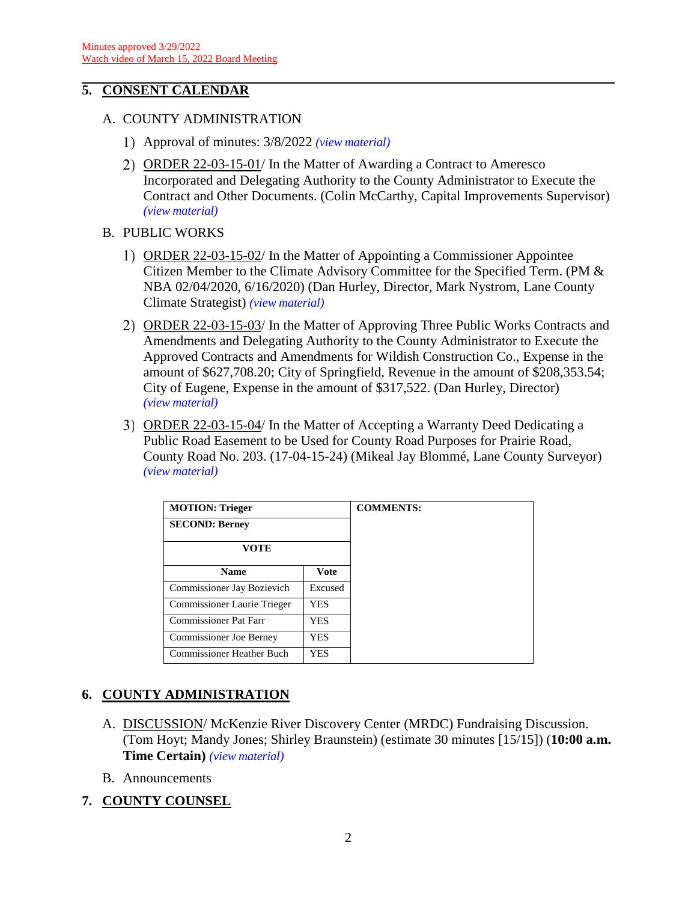# **5. CONSENT CALENDAR**

- A. COUNTY ADMINISTRATION
	- Approval of minutes: 3/8/2022 *(view [material\)](http://www.lanecountyor.gov/UserFiles/Servers/Server_3585797/File/Government/BCC/2022/2022_AGENDAS/031522agenda/T.5.A.1.pdf)*
	- ORDER 22-03-15-01/ In the Matter of Awarding a Contract to Ameresco Incorporated and Delegating Authority to the County Administrator to Execute the Contract and Other Documents. (Colin McCarthy, Capital Improvements Supervisor) *(view [material\)](http://www.lanecountyor.gov/UserFiles/Servers/Server_3585797/File/Government/BCC/2022/2022_AGENDAS/031522agenda/T.5.A.2.pdf)*
- B. PUBLIC WORKS
	- ORDER 22-03-15-02/ In the Matter of Appointing a Commissioner Appointee Citizen Member to the Climate Advisory Committee for the Specified Term. (PM & NBA 02/04/2020, 6/16/2020) (Dan Hurley, Director, Mark Nystrom, Lane County Climate Strategist) *(view [material\)](http://www.lanecountyor.gov/UserFiles/Servers/Server_3585797/File/Government/BCC/2022/2022_AGENDAS/031522agenda/T.5.B.1.pdf)*
	- 2) ORDER 22-03-15-03/ In the Matter of Approving Three Public Works Contracts and Amendments and Delegating Authority to the County Administrator to Execute the Approved Contracts and Amendments for Wildish Construction Co., Expense in the amount of \$627,708.20; City of Springfield, Revenue in the amount of \$208,353.54; City of Eugene, Expense in the amount of \$317,522. (Dan Hurley, Director) *(view [material\)](http://www.lanecountyor.gov/UserFiles/Servers/Server_3585797/File/Government/BCC/2022/2022_AGENDAS/031522agenda/T.5.B.2.pdf)*
	- 3) ORDER 22-03-15-04/ In the Matter of Accepting a Warranty Deed Dedicating a Public Road Easement to be Used for County Road Purposes for Prairie Road, County Road No. 203. (17-04-15-24) (Mikeal Jay Blommé, Lane County Surveyor) *(view [material\)](http://www.lanecountyor.gov/UserFiles/Servers/Server_3585797/File/Government/BCC/2022/2022_AGENDAS/031522agenda/T.5.B.3.pdf)*

| <b>MOTION: Trieger</b>           |             |  |
|----------------------------------|-------------|--|
| <b>SECOND: Berney</b>            |             |  |
| <b>VOTE</b>                      |             |  |
| <b>Name</b>                      | <b>Vote</b> |  |
| Commissioner Jay Bozievich       | Excused     |  |
| Commissioner Laurie Trieger      | <b>YES</b>  |  |
| <b>Commissioner Pat Farr</b>     | <b>YES</b>  |  |
| <b>Commissioner Joe Berney</b>   | <b>YES</b>  |  |
| <b>Commissioner Heather Buch</b> | YES         |  |

# **6. COUNTY ADMINISTRATION**

- A. DISCUSSION/ McKenzie River Discovery Center (MRDC) Fundraising Discussion. (Tom Hoyt; Mandy Jones; Shirley Braunstein) (estimate 30 minutes [15/15]) (**10:00 a.m. Time Certain)** *(view [material\)](http://www.lanecountyor.gov/UserFiles/Servers/Server_3585797/File/Government/BCC/2022/2022_AGENDAS/031522agenda/T.6.A.pdf)*
- B. Announcements
- **7. COUNTY COUNSEL**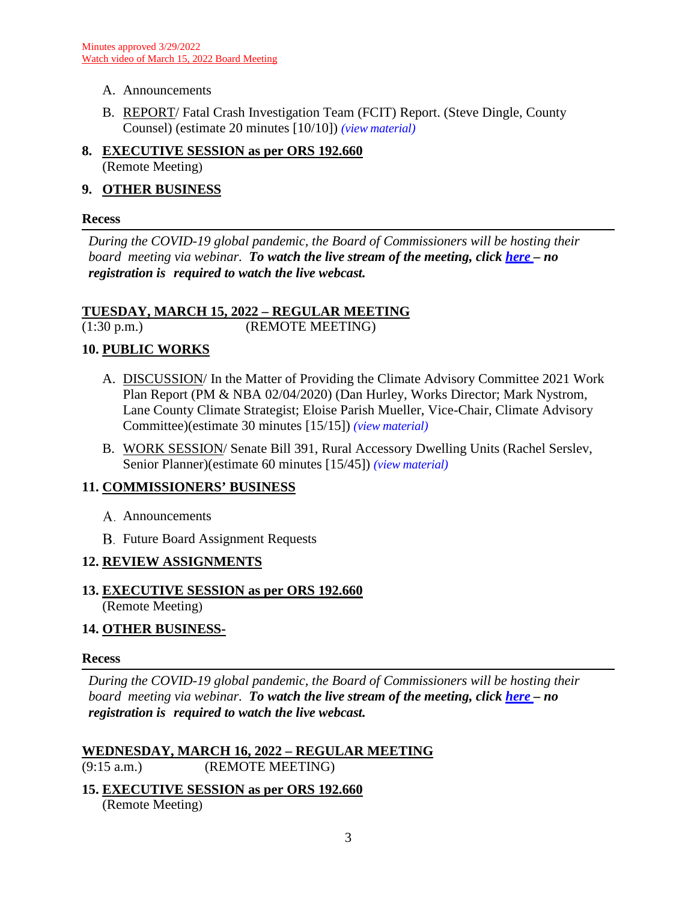- A. Announcements
- B. REPORT/ Fatal Crash Investigation Team (FCIT) Report. (Steve Dingle, County Counsel) (estimate 20 minutes [10/10]) *(view [material\)](http://www.lanecountyor.gov/UserFiles/Servers/Server_3585797/File/Government/BCC/2022/2022_AGENDAS/031522agenda/T.7.B.pdf)*
- **8. EXECUTIVE SESSION as per ORS 192.660** (Remote Meeting)

# **9. OTHER BUSINESS**

## **Recess**

*During the COVID-19 global pandemic, the Board of Commissioners will be hosting their board meeting via webinar. To watch the live stream of the meeting, click [here](https://lanecounty.org/cms/One.aspx?portalId=3585881&pageId=7842434) – no registration is required to watch the live webcast.* 

# **TUESDAY, MARCH 15, 2022 – REGULAR MEETING**

(1:30 p.m.) (REMOTE MEETING)

# **10. PUBLIC WORKS**

- A. DISCUSSION/ In the Matter of Providing the Climate Advisory Committee 2021 Work Plan Report (PM & NBA 02/04/2020) (Dan Hurley, Works Director; Mark Nystrom, Lane County Climate Strategist; Eloise Parish Mueller, Vice-Chair, Climate Advisory Committee)(estimate 30 minutes [15/15]) *(view [material\)](http://www.lanecountyor.gov/UserFiles/Servers/Server_3585797/File/Government/BCC/2022/2022_AGENDAS/031522agenda/T.10.A.pdf)*
- B. WORK SESSION/ Senate Bill 391, Rural Accessory Dwelling Units (Rachel Serslev, Senior Planner)(estimate 60 minutes [15/45]) *(view [material\)](http://www.lanecountyor.gov/UserFiles/Servers/Server_3585797/File/Government/BCC/2022/2022_AGENDAS/031522agenda/T.10.B.pdf)*

# **11. COMMISSIONERS' BUSINESS**

- A. Announcements
- **B.** Future Board Assignment Requests

# **12. REVIEW ASSIGNMENTS**

# **13. EXECUTIVE SESSION as per ORS 192.660**

(Remote Meeting)

# **14. OTHER BUSINESS-**

# **Recess**

*During the COVID-19 global pandemic, the Board of Commissioners will be hosting their board meeting via webinar. To watch the live stream of the meeting, click [here](https://lanecounty.org/cms/One.aspx?portalId=3585881&pageId=7842434) – no registration is required to watch the live webcast.* 

#### **WEDNESDAY, MARCH 16, 2022 – REGULAR MEETING** (9:15 a.m.) (REMOTE MEETING)

**15. EXECUTIVE SESSION as per ORS 192.660** (Remote Meeting)